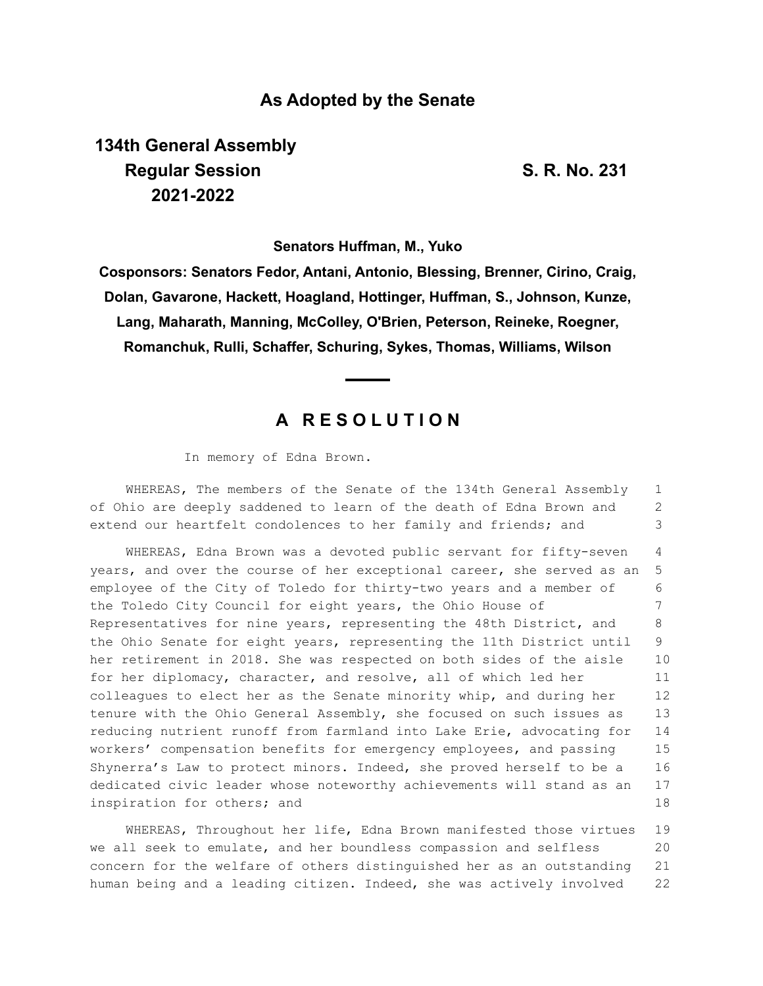### **As Adopted by the Senate**

# **134th General Assembly Regular Session S. R. No. 231 2021-2022**

**Senators Huffman, M., Yuko**

**Cosponsors: Senators Fedor, Antani, Antonio, Blessing, Brenner, Cirino, Craig, Dolan, Gavarone, Hackett, Hoagland, Hottinger, Huffman, S., Johnson, Kunze, Lang, Maharath, Manning, McColley, O'Brien, Peterson, Reineke, Roegner, Romanchuk, Rulli, Schaffer, Schuring, Sykes, Thomas, Williams, Wilson**

## **A R E S O L U T I O N**

In memory of Edna Brown.

WHEREAS, The members of the Senate of the 134th General Assembly of Ohio are deeply saddened to learn of the death of Edna Brown and extend our heartfelt condolences to her family and friends; and 1 2 3

WHEREAS, Edna Brown was a devoted public servant for fifty-seven years, and over the course of her exceptional career, she served as an employee of the City of Toledo for thirty-two years and a member of the Toledo City Council for eight years, the Ohio House of Representatives for nine years, representing the 48th District, and the Ohio Senate for eight years, representing the 11th District until her retirement in 2018. She was respected on both sides of the aisle for her diplomacy, character, and resolve, all of which led her colleagues to elect her as the Senate minority whip, and during her tenure with the Ohio General Assembly, she focused on such issues as reducing nutrient runoff from farmland into Lake Erie, advocating for workers' compensation benefits for emergency employees, and passing Shynerra's Law to protect minors. Indeed, she proved herself to be a dedicated civic leader whose noteworthy achievements will stand as an inspiration for others; and 4 5 6 7 8  $\Omega$ 10 11 12 13 14 15 16 17 18

WHEREAS, Throughout her life, Edna Brown manifested those virtues we all seek to emulate, and her boundless compassion and selfless concern for the welfare of others distinguished her as an outstanding human being and a leading citizen. Indeed, she was actively involved 19 20 21 22